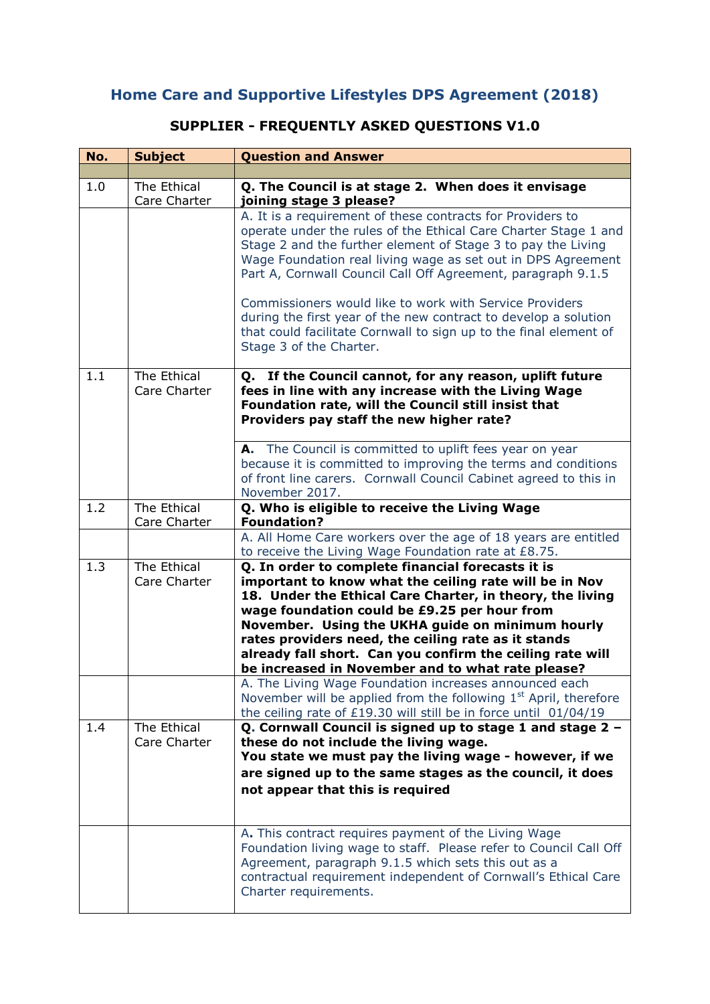## **Home Care and Supportive Lifestyles DPS Agreement (2018)**

## **SUPPLIER - FREQUENTLY ASKED QUESTIONS V1.0**

| No. | <b>Subject</b>              | <b>Question and Answer</b>                                                                                                                                                                                                                                                                                                                                                                                                                            |
|-----|-----------------------------|-------------------------------------------------------------------------------------------------------------------------------------------------------------------------------------------------------------------------------------------------------------------------------------------------------------------------------------------------------------------------------------------------------------------------------------------------------|
|     |                             |                                                                                                                                                                                                                                                                                                                                                                                                                                                       |
| 1.0 | The Ethical<br>Care Charter | Q. The Council is at stage 2. When does it envisage<br>joining stage 3 please?                                                                                                                                                                                                                                                                                                                                                                        |
|     |                             | A. It is a requirement of these contracts for Providers to<br>operate under the rules of the Ethical Care Charter Stage 1 and<br>Stage 2 and the further element of Stage 3 to pay the Living<br>Wage Foundation real living wage as set out in DPS Agreement<br>Part A, Cornwall Council Call Off Agreement, paragraph 9.1.5                                                                                                                         |
|     |                             | Commissioners would like to work with Service Providers<br>during the first year of the new contract to develop a solution<br>that could facilitate Cornwall to sign up to the final element of<br>Stage 3 of the Charter.                                                                                                                                                                                                                            |
| 1.1 | The Ethical<br>Care Charter | Q. If the Council cannot, for any reason, uplift future<br>fees in line with any increase with the Living Wage<br>Foundation rate, will the Council still insist that<br>Providers pay staff the new higher rate?                                                                                                                                                                                                                                     |
|     |                             | A. The Council is committed to uplift fees year on year<br>because it is committed to improving the terms and conditions<br>of front line carers. Cornwall Council Cabinet agreed to this in<br>November 2017.                                                                                                                                                                                                                                        |
| 1.2 | The Ethical<br>Care Charter | Q. Who is eligible to receive the Living Wage<br><b>Foundation?</b>                                                                                                                                                                                                                                                                                                                                                                                   |
|     |                             | A. All Home Care workers over the age of 18 years are entitled<br>to receive the Living Wage Foundation rate at £8.75.                                                                                                                                                                                                                                                                                                                                |
| 1.3 | The Ethical<br>Care Charter | Q. In order to complete financial forecasts it is<br>important to know what the ceiling rate will be in Nov<br>18. Under the Ethical Care Charter, in theory, the living<br>wage foundation could be £9.25 per hour from<br>November. Using the UKHA guide on minimum hourly<br>rates providers need, the ceiling rate as it stands<br>already fall short. Can you confirm the ceiling rate will<br>be increased in November and to what rate please? |
|     |                             | A. The Living Wage Foundation increases announced each<br>November will be applied from the following 1 <sup>st</sup> April, therefore<br>the ceiling rate of £19.30 will still be in force until 01/04/19                                                                                                                                                                                                                                            |
| 1.4 | The Ethical<br>Care Charter | Q. Cornwall Council is signed up to stage 1 and stage 2 -<br>these do not include the living wage.<br>You state we must pay the living wage - however, if we<br>are signed up to the same stages as the council, it does<br>not appear that this is required                                                                                                                                                                                          |
|     |                             | A. This contract requires payment of the Living Wage<br>Foundation living wage to staff. Please refer to Council Call Off<br>Agreement, paragraph 9.1.5 which sets this out as a<br>contractual requirement independent of Cornwall's Ethical Care<br>Charter requirements.                                                                                                                                                                           |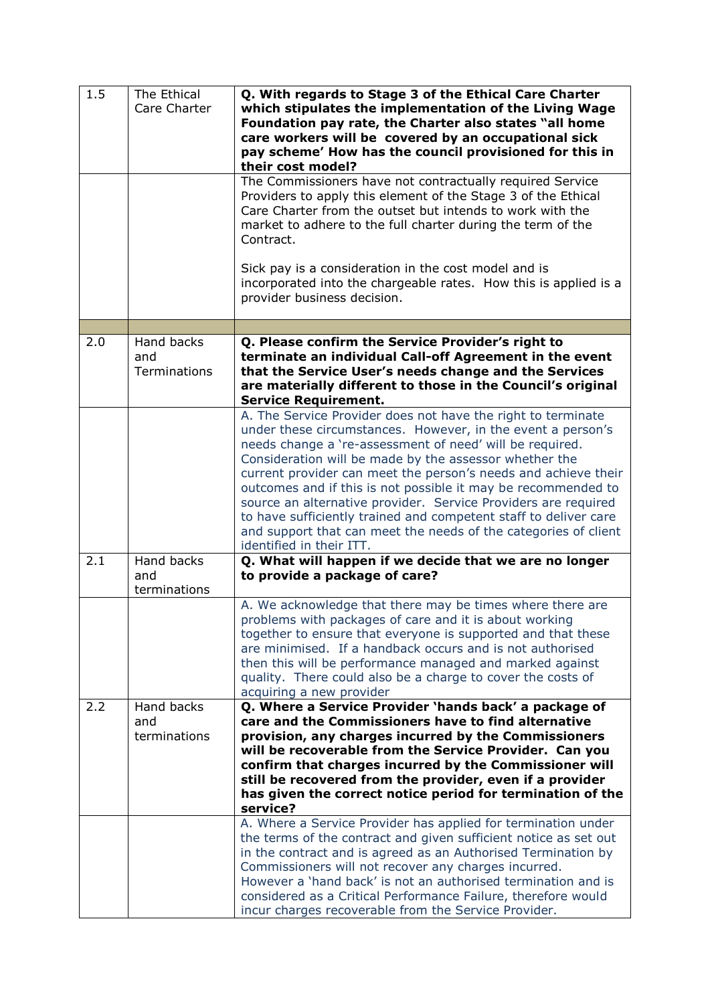| 1.5 | The Ethical<br>Care Charter              | Q. With regards to Stage 3 of the Ethical Care Charter<br>which stipulates the implementation of the Living Wage<br>Foundation pay rate, the Charter also states "all home<br>care workers will be covered by an occupational sick<br>pay scheme' How has the council provisioned for this in<br>their cost model?                                                                                                                                                                                                                                                                                                        |
|-----|------------------------------------------|---------------------------------------------------------------------------------------------------------------------------------------------------------------------------------------------------------------------------------------------------------------------------------------------------------------------------------------------------------------------------------------------------------------------------------------------------------------------------------------------------------------------------------------------------------------------------------------------------------------------------|
|     |                                          | The Commissioners have not contractually required Service<br>Providers to apply this element of the Stage 3 of the Ethical<br>Care Charter from the outset but intends to work with the<br>market to adhere to the full charter during the term of the<br>Contract.                                                                                                                                                                                                                                                                                                                                                       |
|     |                                          | Sick pay is a consideration in the cost model and is<br>incorporated into the chargeable rates. How this is applied is a<br>provider business decision.                                                                                                                                                                                                                                                                                                                                                                                                                                                                   |
|     |                                          |                                                                                                                                                                                                                                                                                                                                                                                                                                                                                                                                                                                                                           |
| 2.0 | Hand backs<br>and<br>Terminations        | Q. Please confirm the Service Provider's right to<br>terminate an individual Call-off Agreement in the event<br>that the Service User's needs change and the Services<br>are materially different to those in the Council's original<br><b>Service Requirement.</b>                                                                                                                                                                                                                                                                                                                                                       |
|     |                                          | A. The Service Provider does not have the right to terminate<br>under these circumstances. However, in the event a person's<br>needs change a 're-assessment of need' will be required.<br>Consideration will be made by the assessor whether the<br>current provider can meet the person's needs and achieve their<br>outcomes and if this is not possible it may be recommended to<br>source an alternative provider. Service Providers are required<br>to have sufficiently trained and competent staff to deliver care<br>and support that can meet the needs of the categories of client<br>identified in their ITT. |
| 2.1 | <b>Hand backs</b><br>and<br>terminations | Q. What will happen if we decide that we are no longer<br>to provide a package of care?                                                                                                                                                                                                                                                                                                                                                                                                                                                                                                                                   |
|     |                                          | A. We acknowledge that there may be times where there are<br>problems with packages of care and it is about working<br>together to ensure that everyone is supported and that these<br>are minimised. If a handback occurs and is not authorised<br>then this will be performance managed and marked against<br>quality. There could also be a charge to cover the costs of<br>acquiring a new provider                                                                                                                                                                                                                   |
| 2.2 | Hand backs                               | Q. Where a Service Provider 'hands back' a package of                                                                                                                                                                                                                                                                                                                                                                                                                                                                                                                                                                     |
|     | and<br>terminations                      | care and the Commissioners have to find alternative<br>provision, any charges incurred by the Commissioners<br>will be recoverable from the Service Provider. Can you<br>confirm that charges incurred by the Commissioner will<br>still be recovered from the provider, even if a provider<br>has given the correct notice period for termination of the<br>service?                                                                                                                                                                                                                                                     |
|     |                                          | A. Where a Service Provider has applied for termination under<br>the terms of the contract and given sufficient notice as set out<br>in the contract and is agreed as an Authorised Termination by<br>Commissioners will not recover any charges incurred.<br>However a 'hand back' is not an authorised termination and is<br>considered as a Critical Performance Failure, therefore would<br>incur charges recoverable from the Service Provider.                                                                                                                                                                      |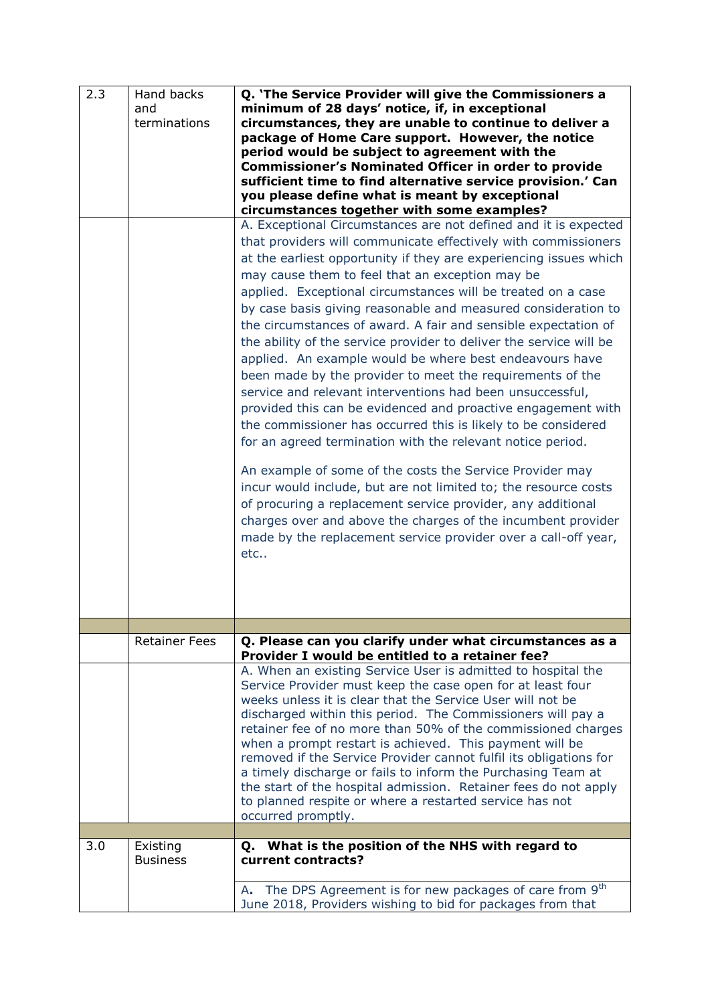| minimum of 28 days' notice, if, in exceptional<br>and<br>terminations<br>circumstances, they are unable to continue to deliver a<br>package of Home Care support. However, the notice<br>period would be subject to agreement with the<br><b>Commissioner's Nominated Officer in order to provide</b><br>sufficient time to find alternative service provision.' Can<br>you please define what is meant by exceptional<br>circumstances together with some examples?<br>A. Exceptional Circumstances are not defined and it is expected<br>that providers will communicate effectively with commissioners<br>at the earliest opportunity if they are experiencing issues which<br>may cause them to feel that an exception may be<br>applied. Exceptional circumstances will be treated on a case<br>by case basis giving reasonable and measured consideration to<br>the circumstances of award. A fair and sensible expectation of<br>the ability of the service provider to deliver the service will be<br>applied. An example would be where best endeavours have<br>been made by the provider to meet the requirements of the<br>service and relevant interventions had been unsuccessful,<br>provided this can be evidenced and proactive engagement with<br>the commissioner has occurred this is likely to be considered<br>for an agreed termination with the relevant notice period.<br>An example of some of the costs the Service Provider may<br>incur would include, but are not limited to; the resource costs<br>of procuring a replacement service provider, any additional<br>charges over and above the charges of the incumbent provider<br>made by the replacement service provider over a call-off year,<br>$etc.$ .<br><b>Retainer Fees</b><br>Q. Please can you clarify under what circumstances as a<br>Provider I would be entitled to a retainer fee?<br>A. When an existing Service User is admitted to hospital the<br>Service Provider must keep the case open for at least four<br>weeks unless it is clear that the Service User will not be<br>discharged within this period. The Commissioners will pay a<br>retainer fee of no more than 50% of the commissioned charges<br>when a prompt restart is achieved. This payment will be<br>removed if the Service Provider cannot fulfil its obligations for<br>a timely discharge or fails to inform the Purchasing Team at<br>the start of the hospital admission. Retainer fees do not apply<br>to planned respite or where a restarted service has not<br>occurred promptly.<br>Q. What is the position of the NHS with regard to<br>3.0<br>Existing<br><b>Business</b><br>current contracts?<br>The DPS Agreement is for new packages of care from 9 <sup>th</sup><br>А. | 2.3 | Hand backs | Q. 'The Service Provider will give the Commissioners a     |
|--------------------------------------------------------------------------------------------------------------------------------------------------------------------------------------------------------------------------------------------------------------------------------------------------------------------------------------------------------------------------------------------------------------------------------------------------------------------------------------------------------------------------------------------------------------------------------------------------------------------------------------------------------------------------------------------------------------------------------------------------------------------------------------------------------------------------------------------------------------------------------------------------------------------------------------------------------------------------------------------------------------------------------------------------------------------------------------------------------------------------------------------------------------------------------------------------------------------------------------------------------------------------------------------------------------------------------------------------------------------------------------------------------------------------------------------------------------------------------------------------------------------------------------------------------------------------------------------------------------------------------------------------------------------------------------------------------------------------------------------------------------------------------------------------------------------------------------------------------------------------------------------------------------------------------------------------------------------------------------------------------------------------------------------------------------------------------------------------------------------------------------------------------------------------------------------------------------------------------------------------------------------------------------------------------------------------------------------------------------------------------------------------------------------------------------------------------------------------------------------------------------------------------------------------------------------------------------------------------------------------------------------------------------------------------------------------------------------------------------------------------------|-----|------------|------------------------------------------------------------|
|                                                                                                                                                                                                                                                                                                                                                                                                                                                                                                                                                                                                                                                                                                                                                                                                                                                                                                                                                                                                                                                                                                                                                                                                                                                                                                                                                                                                                                                                                                                                                                                                                                                                                                                                                                                                                                                                                                                                                                                                                                                                                                                                                                                                                                                                                                                                                                                                                                                                                                                                                                                                                                                                                                                                                              |     |            |                                                            |
|                                                                                                                                                                                                                                                                                                                                                                                                                                                                                                                                                                                                                                                                                                                                                                                                                                                                                                                                                                                                                                                                                                                                                                                                                                                                                                                                                                                                                                                                                                                                                                                                                                                                                                                                                                                                                                                                                                                                                                                                                                                                                                                                                                                                                                                                                                                                                                                                                                                                                                                                                                                                                                                                                                                                                              |     |            |                                                            |
|                                                                                                                                                                                                                                                                                                                                                                                                                                                                                                                                                                                                                                                                                                                                                                                                                                                                                                                                                                                                                                                                                                                                                                                                                                                                                                                                                                                                                                                                                                                                                                                                                                                                                                                                                                                                                                                                                                                                                                                                                                                                                                                                                                                                                                                                                                                                                                                                                                                                                                                                                                                                                                                                                                                                                              |     |            |                                                            |
|                                                                                                                                                                                                                                                                                                                                                                                                                                                                                                                                                                                                                                                                                                                                                                                                                                                                                                                                                                                                                                                                                                                                                                                                                                                                                                                                                                                                                                                                                                                                                                                                                                                                                                                                                                                                                                                                                                                                                                                                                                                                                                                                                                                                                                                                                                                                                                                                                                                                                                                                                                                                                                                                                                                                                              |     |            |                                                            |
|                                                                                                                                                                                                                                                                                                                                                                                                                                                                                                                                                                                                                                                                                                                                                                                                                                                                                                                                                                                                                                                                                                                                                                                                                                                                                                                                                                                                                                                                                                                                                                                                                                                                                                                                                                                                                                                                                                                                                                                                                                                                                                                                                                                                                                                                                                                                                                                                                                                                                                                                                                                                                                                                                                                                                              |     |            |                                                            |
|                                                                                                                                                                                                                                                                                                                                                                                                                                                                                                                                                                                                                                                                                                                                                                                                                                                                                                                                                                                                                                                                                                                                                                                                                                                                                                                                                                                                                                                                                                                                                                                                                                                                                                                                                                                                                                                                                                                                                                                                                                                                                                                                                                                                                                                                                                                                                                                                                                                                                                                                                                                                                                                                                                                                                              |     |            |                                                            |
|                                                                                                                                                                                                                                                                                                                                                                                                                                                                                                                                                                                                                                                                                                                                                                                                                                                                                                                                                                                                                                                                                                                                                                                                                                                                                                                                                                                                                                                                                                                                                                                                                                                                                                                                                                                                                                                                                                                                                                                                                                                                                                                                                                                                                                                                                                                                                                                                                                                                                                                                                                                                                                                                                                                                                              |     |            |                                                            |
|                                                                                                                                                                                                                                                                                                                                                                                                                                                                                                                                                                                                                                                                                                                                                                                                                                                                                                                                                                                                                                                                                                                                                                                                                                                                                                                                                                                                                                                                                                                                                                                                                                                                                                                                                                                                                                                                                                                                                                                                                                                                                                                                                                                                                                                                                                                                                                                                                                                                                                                                                                                                                                                                                                                                                              |     |            |                                                            |
|                                                                                                                                                                                                                                                                                                                                                                                                                                                                                                                                                                                                                                                                                                                                                                                                                                                                                                                                                                                                                                                                                                                                                                                                                                                                                                                                                                                                                                                                                                                                                                                                                                                                                                                                                                                                                                                                                                                                                                                                                                                                                                                                                                                                                                                                                                                                                                                                                                                                                                                                                                                                                                                                                                                                                              |     |            |                                                            |
|                                                                                                                                                                                                                                                                                                                                                                                                                                                                                                                                                                                                                                                                                                                                                                                                                                                                                                                                                                                                                                                                                                                                                                                                                                                                                                                                                                                                                                                                                                                                                                                                                                                                                                                                                                                                                                                                                                                                                                                                                                                                                                                                                                                                                                                                                                                                                                                                                                                                                                                                                                                                                                                                                                                                                              |     |            |                                                            |
|                                                                                                                                                                                                                                                                                                                                                                                                                                                                                                                                                                                                                                                                                                                                                                                                                                                                                                                                                                                                                                                                                                                                                                                                                                                                                                                                                                                                                                                                                                                                                                                                                                                                                                                                                                                                                                                                                                                                                                                                                                                                                                                                                                                                                                                                                                                                                                                                                                                                                                                                                                                                                                                                                                                                                              |     |            |                                                            |
|                                                                                                                                                                                                                                                                                                                                                                                                                                                                                                                                                                                                                                                                                                                                                                                                                                                                                                                                                                                                                                                                                                                                                                                                                                                                                                                                                                                                                                                                                                                                                                                                                                                                                                                                                                                                                                                                                                                                                                                                                                                                                                                                                                                                                                                                                                                                                                                                                                                                                                                                                                                                                                                                                                                                                              |     |            |                                                            |
|                                                                                                                                                                                                                                                                                                                                                                                                                                                                                                                                                                                                                                                                                                                                                                                                                                                                                                                                                                                                                                                                                                                                                                                                                                                                                                                                                                                                                                                                                                                                                                                                                                                                                                                                                                                                                                                                                                                                                                                                                                                                                                                                                                                                                                                                                                                                                                                                                                                                                                                                                                                                                                                                                                                                                              |     |            |                                                            |
|                                                                                                                                                                                                                                                                                                                                                                                                                                                                                                                                                                                                                                                                                                                                                                                                                                                                                                                                                                                                                                                                                                                                                                                                                                                                                                                                                                                                                                                                                                                                                                                                                                                                                                                                                                                                                                                                                                                                                                                                                                                                                                                                                                                                                                                                                                                                                                                                                                                                                                                                                                                                                                                                                                                                                              |     |            |                                                            |
|                                                                                                                                                                                                                                                                                                                                                                                                                                                                                                                                                                                                                                                                                                                                                                                                                                                                                                                                                                                                                                                                                                                                                                                                                                                                                                                                                                                                                                                                                                                                                                                                                                                                                                                                                                                                                                                                                                                                                                                                                                                                                                                                                                                                                                                                                                                                                                                                                                                                                                                                                                                                                                                                                                                                                              |     |            |                                                            |
|                                                                                                                                                                                                                                                                                                                                                                                                                                                                                                                                                                                                                                                                                                                                                                                                                                                                                                                                                                                                                                                                                                                                                                                                                                                                                                                                                                                                                                                                                                                                                                                                                                                                                                                                                                                                                                                                                                                                                                                                                                                                                                                                                                                                                                                                                                                                                                                                                                                                                                                                                                                                                                                                                                                                                              |     |            |                                                            |
|                                                                                                                                                                                                                                                                                                                                                                                                                                                                                                                                                                                                                                                                                                                                                                                                                                                                                                                                                                                                                                                                                                                                                                                                                                                                                                                                                                                                                                                                                                                                                                                                                                                                                                                                                                                                                                                                                                                                                                                                                                                                                                                                                                                                                                                                                                                                                                                                                                                                                                                                                                                                                                                                                                                                                              |     |            |                                                            |
|                                                                                                                                                                                                                                                                                                                                                                                                                                                                                                                                                                                                                                                                                                                                                                                                                                                                                                                                                                                                                                                                                                                                                                                                                                                                                                                                                                                                                                                                                                                                                                                                                                                                                                                                                                                                                                                                                                                                                                                                                                                                                                                                                                                                                                                                                                                                                                                                                                                                                                                                                                                                                                                                                                                                                              |     |            |                                                            |
|                                                                                                                                                                                                                                                                                                                                                                                                                                                                                                                                                                                                                                                                                                                                                                                                                                                                                                                                                                                                                                                                                                                                                                                                                                                                                                                                                                                                                                                                                                                                                                                                                                                                                                                                                                                                                                                                                                                                                                                                                                                                                                                                                                                                                                                                                                                                                                                                                                                                                                                                                                                                                                                                                                                                                              |     |            |                                                            |
|                                                                                                                                                                                                                                                                                                                                                                                                                                                                                                                                                                                                                                                                                                                                                                                                                                                                                                                                                                                                                                                                                                                                                                                                                                                                                                                                                                                                                                                                                                                                                                                                                                                                                                                                                                                                                                                                                                                                                                                                                                                                                                                                                                                                                                                                                                                                                                                                                                                                                                                                                                                                                                                                                                                                                              |     |            |                                                            |
|                                                                                                                                                                                                                                                                                                                                                                                                                                                                                                                                                                                                                                                                                                                                                                                                                                                                                                                                                                                                                                                                                                                                                                                                                                                                                                                                                                                                                                                                                                                                                                                                                                                                                                                                                                                                                                                                                                                                                                                                                                                                                                                                                                                                                                                                                                                                                                                                                                                                                                                                                                                                                                                                                                                                                              |     |            |                                                            |
|                                                                                                                                                                                                                                                                                                                                                                                                                                                                                                                                                                                                                                                                                                                                                                                                                                                                                                                                                                                                                                                                                                                                                                                                                                                                                                                                                                                                                                                                                                                                                                                                                                                                                                                                                                                                                                                                                                                                                                                                                                                                                                                                                                                                                                                                                                                                                                                                                                                                                                                                                                                                                                                                                                                                                              |     |            |                                                            |
|                                                                                                                                                                                                                                                                                                                                                                                                                                                                                                                                                                                                                                                                                                                                                                                                                                                                                                                                                                                                                                                                                                                                                                                                                                                                                                                                                                                                                                                                                                                                                                                                                                                                                                                                                                                                                                                                                                                                                                                                                                                                                                                                                                                                                                                                                                                                                                                                                                                                                                                                                                                                                                                                                                                                                              |     |            |                                                            |
|                                                                                                                                                                                                                                                                                                                                                                                                                                                                                                                                                                                                                                                                                                                                                                                                                                                                                                                                                                                                                                                                                                                                                                                                                                                                                                                                                                                                                                                                                                                                                                                                                                                                                                                                                                                                                                                                                                                                                                                                                                                                                                                                                                                                                                                                                                                                                                                                                                                                                                                                                                                                                                                                                                                                                              |     |            |                                                            |
|                                                                                                                                                                                                                                                                                                                                                                                                                                                                                                                                                                                                                                                                                                                                                                                                                                                                                                                                                                                                                                                                                                                                                                                                                                                                                                                                                                                                                                                                                                                                                                                                                                                                                                                                                                                                                                                                                                                                                                                                                                                                                                                                                                                                                                                                                                                                                                                                                                                                                                                                                                                                                                                                                                                                                              |     |            |                                                            |
|                                                                                                                                                                                                                                                                                                                                                                                                                                                                                                                                                                                                                                                                                                                                                                                                                                                                                                                                                                                                                                                                                                                                                                                                                                                                                                                                                                                                                                                                                                                                                                                                                                                                                                                                                                                                                                                                                                                                                                                                                                                                                                                                                                                                                                                                                                                                                                                                                                                                                                                                                                                                                                                                                                                                                              |     |            |                                                            |
|                                                                                                                                                                                                                                                                                                                                                                                                                                                                                                                                                                                                                                                                                                                                                                                                                                                                                                                                                                                                                                                                                                                                                                                                                                                                                                                                                                                                                                                                                                                                                                                                                                                                                                                                                                                                                                                                                                                                                                                                                                                                                                                                                                                                                                                                                                                                                                                                                                                                                                                                                                                                                                                                                                                                                              |     |            |                                                            |
|                                                                                                                                                                                                                                                                                                                                                                                                                                                                                                                                                                                                                                                                                                                                                                                                                                                                                                                                                                                                                                                                                                                                                                                                                                                                                                                                                                                                                                                                                                                                                                                                                                                                                                                                                                                                                                                                                                                                                                                                                                                                                                                                                                                                                                                                                                                                                                                                                                                                                                                                                                                                                                                                                                                                                              |     |            |                                                            |
|                                                                                                                                                                                                                                                                                                                                                                                                                                                                                                                                                                                                                                                                                                                                                                                                                                                                                                                                                                                                                                                                                                                                                                                                                                                                                                                                                                                                                                                                                                                                                                                                                                                                                                                                                                                                                                                                                                                                                                                                                                                                                                                                                                                                                                                                                                                                                                                                                                                                                                                                                                                                                                                                                                                                                              |     |            |                                                            |
|                                                                                                                                                                                                                                                                                                                                                                                                                                                                                                                                                                                                                                                                                                                                                                                                                                                                                                                                                                                                                                                                                                                                                                                                                                                                                                                                                                                                                                                                                                                                                                                                                                                                                                                                                                                                                                                                                                                                                                                                                                                                                                                                                                                                                                                                                                                                                                                                                                                                                                                                                                                                                                                                                                                                                              |     |            |                                                            |
|                                                                                                                                                                                                                                                                                                                                                                                                                                                                                                                                                                                                                                                                                                                                                                                                                                                                                                                                                                                                                                                                                                                                                                                                                                                                                                                                                                                                                                                                                                                                                                                                                                                                                                                                                                                                                                                                                                                                                                                                                                                                                                                                                                                                                                                                                                                                                                                                                                                                                                                                                                                                                                                                                                                                                              |     |            |                                                            |
|                                                                                                                                                                                                                                                                                                                                                                                                                                                                                                                                                                                                                                                                                                                                                                                                                                                                                                                                                                                                                                                                                                                                                                                                                                                                                                                                                                                                                                                                                                                                                                                                                                                                                                                                                                                                                                                                                                                                                                                                                                                                                                                                                                                                                                                                                                                                                                                                                                                                                                                                                                                                                                                                                                                                                              |     |            |                                                            |
|                                                                                                                                                                                                                                                                                                                                                                                                                                                                                                                                                                                                                                                                                                                                                                                                                                                                                                                                                                                                                                                                                                                                                                                                                                                                                                                                                                                                                                                                                                                                                                                                                                                                                                                                                                                                                                                                                                                                                                                                                                                                                                                                                                                                                                                                                                                                                                                                                                                                                                                                                                                                                                                                                                                                                              |     |            |                                                            |
|                                                                                                                                                                                                                                                                                                                                                                                                                                                                                                                                                                                                                                                                                                                                                                                                                                                                                                                                                                                                                                                                                                                                                                                                                                                                                                                                                                                                                                                                                                                                                                                                                                                                                                                                                                                                                                                                                                                                                                                                                                                                                                                                                                                                                                                                                                                                                                                                                                                                                                                                                                                                                                                                                                                                                              |     |            |                                                            |
|                                                                                                                                                                                                                                                                                                                                                                                                                                                                                                                                                                                                                                                                                                                                                                                                                                                                                                                                                                                                                                                                                                                                                                                                                                                                                                                                                                                                                                                                                                                                                                                                                                                                                                                                                                                                                                                                                                                                                                                                                                                                                                                                                                                                                                                                                                                                                                                                                                                                                                                                                                                                                                                                                                                                                              |     |            |                                                            |
|                                                                                                                                                                                                                                                                                                                                                                                                                                                                                                                                                                                                                                                                                                                                                                                                                                                                                                                                                                                                                                                                                                                                                                                                                                                                                                                                                                                                                                                                                                                                                                                                                                                                                                                                                                                                                                                                                                                                                                                                                                                                                                                                                                                                                                                                                                                                                                                                                                                                                                                                                                                                                                                                                                                                                              |     |            |                                                            |
|                                                                                                                                                                                                                                                                                                                                                                                                                                                                                                                                                                                                                                                                                                                                                                                                                                                                                                                                                                                                                                                                                                                                                                                                                                                                                                                                                                                                                                                                                                                                                                                                                                                                                                                                                                                                                                                                                                                                                                                                                                                                                                                                                                                                                                                                                                                                                                                                                                                                                                                                                                                                                                                                                                                                                              |     |            |                                                            |
|                                                                                                                                                                                                                                                                                                                                                                                                                                                                                                                                                                                                                                                                                                                                                                                                                                                                                                                                                                                                                                                                                                                                                                                                                                                                                                                                                                                                                                                                                                                                                                                                                                                                                                                                                                                                                                                                                                                                                                                                                                                                                                                                                                                                                                                                                                                                                                                                                                                                                                                                                                                                                                                                                                                                                              |     |            |                                                            |
|                                                                                                                                                                                                                                                                                                                                                                                                                                                                                                                                                                                                                                                                                                                                                                                                                                                                                                                                                                                                                                                                                                                                                                                                                                                                                                                                                                                                                                                                                                                                                                                                                                                                                                                                                                                                                                                                                                                                                                                                                                                                                                                                                                                                                                                                                                                                                                                                                                                                                                                                                                                                                                                                                                                                                              |     |            |                                                            |
|                                                                                                                                                                                                                                                                                                                                                                                                                                                                                                                                                                                                                                                                                                                                                                                                                                                                                                                                                                                                                                                                                                                                                                                                                                                                                                                                                                                                                                                                                                                                                                                                                                                                                                                                                                                                                                                                                                                                                                                                                                                                                                                                                                                                                                                                                                                                                                                                                                                                                                                                                                                                                                                                                                                                                              |     |            |                                                            |
|                                                                                                                                                                                                                                                                                                                                                                                                                                                                                                                                                                                                                                                                                                                                                                                                                                                                                                                                                                                                                                                                                                                                                                                                                                                                                                                                                                                                                                                                                                                                                                                                                                                                                                                                                                                                                                                                                                                                                                                                                                                                                                                                                                                                                                                                                                                                                                                                                                                                                                                                                                                                                                                                                                                                                              |     |            |                                                            |
|                                                                                                                                                                                                                                                                                                                                                                                                                                                                                                                                                                                                                                                                                                                                                                                                                                                                                                                                                                                                                                                                                                                                                                                                                                                                                                                                                                                                                                                                                                                                                                                                                                                                                                                                                                                                                                                                                                                                                                                                                                                                                                                                                                                                                                                                                                                                                                                                                                                                                                                                                                                                                                                                                                                                                              |     |            |                                                            |
|                                                                                                                                                                                                                                                                                                                                                                                                                                                                                                                                                                                                                                                                                                                                                                                                                                                                                                                                                                                                                                                                                                                                                                                                                                                                                                                                                                                                                                                                                                                                                                                                                                                                                                                                                                                                                                                                                                                                                                                                                                                                                                                                                                                                                                                                                                                                                                                                                                                                                                                                                                                                                                                                                                                                                              |     |            |                                                            |
|                                                                                                                                                                                                                                                                                                                                                                                                                                                                                                                                                                                                                                                                                                                                                                                                                                                                                                                                                                                                                                                                                                                                                                                                                                                                                                                                                                                                                                                                                                                                                                                                                                                                                                                                                                                                                                                                                                                                                                                                                                                                                                                                                                                                                                                                                                                                                                                                                                                                                                                                                                                                                                                                                                                                                              |     |            |                                                            |
|                                                                                                                                                                                                                                                                                                                                                                                                                                                                                                                                                                                                                                                                                                                                                                                                                                                                                                                                                                                                                                                                                                                                                                                                                                                                                                                                                                                                                                                                                                                                                                                                                                                                                                                                                                                                                                                                                                                                                                                                                                                                                                                                                                                                                                                                                                                                                                                                                                                                                                                                                                                                                                                                                                                                                              |     |            |                                                            |
|                                                                                                                                                                                                                                                                                                                                                                                                                                                                                                                                                                                                                                                                                                                                                                                                                                                                                                                                                                                                                                                                                                                                                                                                                                                                                                                                                                                                                                                                                                                                                                                                                                                                                                                                                                                                                                                                                                                                                                                                                                                                                                                                                                                                                                                                                                                                                                                                                                                                                                                                                                                                                                                                                                                                                              |     |            |                                                            |
|                                                                                                                                                                                                                                                                                                                                                                                                                                                                                                                                                                                                                                                                                                                                                                                                                                                                                                                                                                                                                                                                                                                                                                                                                                                                                                                                                                                                                                                                                                                                                                                                                                                                                                                                                                                                                                                                                                                                                                                                                                                                                                                                                                                                                                                                                                                                                                                                                                                                                                                                                                                                                                                                                                                                                              |     |            |                                                            |
|                                                                                                                                                                                                                                                                                                                                                                                                                                                                                                                                                                                                                                                                                                                                                                                                                                                                                                                                                                                                                                                                                                                                                                                                                                                                                                                                                                                                                                                                                                                                                                                                                                                                                                                                                                                                                                                                                                                                                                                                                                                                                                                                                                                                                                                                                                                                                                                                                                                                                                                                                                                                                                                                                                                                                              |     |            |                                                            |
|                                                                                                                                                                                                                                                                                                                                                                                                                                                                                                                                                                                                                                                                                                                                                                                                                                                                                                                                                                                                                                                                                                                                                                                                                                                                                                                                                                                                                                                                                                                                                                                                                                                                                                                                                                                                                                                                                                                                                                                                                                                                                                                                                                                                                                                                                                                                                                                                                                                                                                                                                                                                                                                                                                                                                              |     |            |                                                            |
|                                                                                                                                                                                                                                                                                                                                                                                                                                                                                                                                                                                                                                                                                                                                                                                                                                                                                                                                                                                                                                                                                                                                                                                                                                                                                                                                                                                                                                                                                                                                                                                                                                                                                                                                                                                                                                                                                                                                                                                                                                                                                                                                                                                                                                                                                                                                                                                                                                                                                                                                                                                                                                                                                                                                                              |     |            |                                                            |
|                                                                                                                                                                                                                                                                                                                                                                                                                                                                                                                                                                                                                                                                                                                                                                                                                                                                                                                                                                                                                                                                                                                                                                                                                                                                                                                                                                                                                                                                                                                                                                                                                                                                                                                                                                                                                                                                                                                                                                                                                                                                                                                                                                                                                                                                                                                                                                                                                                                                                                                                                                                                                                                                                                                                                              |     |            |                                                            |
|                                                                                                                                                                                                                                                                                                                                                                                                                                                                                                                                                                                                                                                                                                                                                                                                                                                                                                                                                                                                                                                                                                                                                                                                                                                                                                                                                                                                                                                                                                                                                                                                                                                                                                                                                                                                                                                                                                                                                                                                                                                                                                                                                                                                                                                                                                                                                                                                                                                                                                                                                                                                                                                                                                                                                              |     |            |                                                            |
|                                                                                                                                                                                                                                                                                                                                                                                                                                                                                                                                                                                                                                                                                                                                                                                                                                                                                                                                                                                                                                                                                                                                                                                                                                                                                                                                                                                                                                                                                                                                                                                                                                                                                                                                                                                                                                                                                                                                                                                                                                                                                                                                                                                                                                                                                                                                                                                                                                                                                                                                                                                                                                                                                                                                                              |     |            |                                                            |
|                                                                                                                                                                                                                                                                                                                                                                                                                                                                                                                                                                                                                                                                                                                                                                                                                                                                                                                                                                                                                                                                                                                                                                                                                                                                                                                                                                                                                                                                                                                                                                                                                                                                                                                                                                                                                                                                                                                                                                                                                                                                                                                                                                                                                                                                                                                                                                                                                                                                                                                                                                                                                                                                                                                                                              |     |            |                                                            |
|                                                                                                                                                                                                                                                                                                                                                                                                                                                                                                                                                                                                                                                                                                                                                                                                                                                                                                                                                                                                                                                                                                                                                                                                                                                                                                                                                                                                                                                                                                                                                                                                                                                                                                                                                                                                                                                                                                                                                                                                                                                                                                                                                                                                                                                                                                                                                                                                                                                                                                                                                                                                                                                                                                                                                              |     |            |                                                            |
|                                                                                                                                                                                                                                                                                                                                                                                                                                                                                                                                                                                                                                                                                                                                                                                                                                                                                                                                                                                                                                                                                                                                                                                                                                                                                                                                                                                                                                                                                                                                                                                                                                                                                                                                                                                                                                                                                                                                                                                                                                                                                                                                                                                                                                                                                                                                                                                                                                                                                                                                                                                                                                                                                                                                                              |     |            |                                                            |
|                                                                                                                                                                                                                                                                                                                                                                                                                                                                                                                                                                                                                                                                                                                                                                                                                                                                                                                                                                                                                                                                                                                                                                                                                                                                                                                                                                                                                                                                                                                                                                                                                                                                                                                                                                                                                                                                                                                                                                                                                                                                                                                                                                                                                                                                                                                                                                                                                                                                                                                                                                                                                                                                                                                                                              |     |            |                                                            |
|                                                                                                                                                                                                                                                                                                                                                                                                                                                                                                                                                                                                                                                                                                                                                                                                                                                                                                                                                                                                                                                                                                                                                                                                                                                                                                                                                                                                                                                                                                                                                                                                                                                                                                                                                                                                                                                                                                                                                                                                                                                                                                                                                                                                                                                                                                                                                                                                                                                                                                                                                                                                                                                                                                                                                              |     |            |                                                            |
|                                                                                                                                                                                                                                                                                                                                                                                                                                                                                                                                                                                                                                                                                                                                                                                                                                                                                                                                                                                                                                                                                                                                                                                                                                                                                                                                                                                                                                                                                                                                                                                                                                                                                                                                                                                                                                                                                                                                                                                                                                                                                                                                                                                                                                                                                                                                                                                                                                                                                                                                                                                                                                                                                                                                                              |     |            |                                                            |
|                                                                                                                                                                                                                                                                                                                                                                                                                                                                                                                                                                                                                                                                                                                                                                                                                                                                                                                                                                                                                                                                                                                                                                                                                                                                                                                                                                                                                                                                                                                                                                                                                                                                                                                                                                                                                                                                                                                                                                                                                                                                                                                                                                                                                                                                                                                                                                                                                                                                                                                                                                                                                                                                                                                                                              |     |            |                                                            |
|                                                                                                                                                                                                                                                                                                                                                                                                                                                                                                                                                                                                                                                                                                                                                                                                                                                                                                                                                                                                                                                                                                                                                                                                                                                                                                                                                                                                                                                                                                                                                                                                                                                                                                                                                                                                                                                                                                                                                                                                                                                                                                                                                                                                                                                                                                                                                                                                                                                                                                                                                                                                                                                                                                                                                              |     |            | June 2018, Providers wishing to bid for packages from that |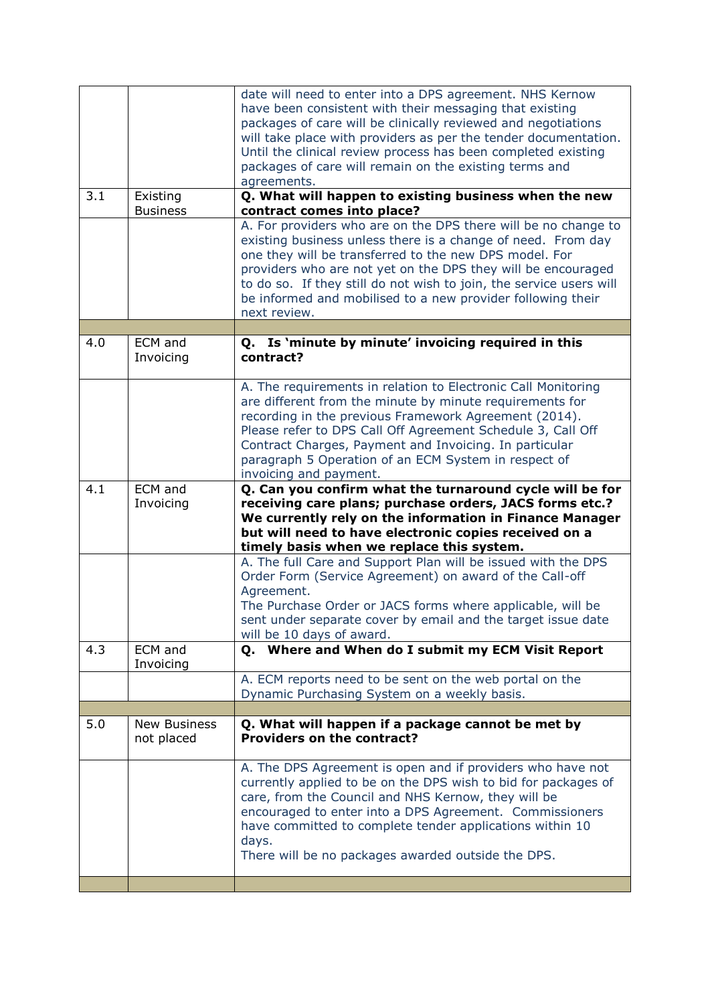|     |                             | date will need to enter into a DPS agreement. NHS Kernow<br>have been consistent with their messaging that existing<br>packages of care will be clinically reviewed and negotiations<br>will take place with providers as per the tender documentation.<br>Until the clinical review process has been completed existing<br>packages of care will remain on the existing terms and<br>agreements.              |
|-----|-----------------------------|----------------------------------------------------------------------------------------------------------------------------------------------------------------------------------------------------------------------------------------------------------------------------------------------------------------------------------------------------------------------------------------------------------------|
| 3.1 | Existing<br><b>Business</b> | Q. What will happen to existing business when the new<br>contract comes into place?                                                                                                                                                                                                                                                                                                                            |
|     |                             | A. For providers who are on the DPS there will be no change to<br>existing business unless there is a change of need. From day<br>one they will be transferred to the new DPS model. For<br>providers who are not yet on the DPS they will be encouraged<br>to do so. If they still do not wish to join, the service users will<br>be informed and mobilised to a new provider following their<br>next review. |
| 4.0 | <b>ECM</b> and              | Q. Is 'minute by minute' invoicing required in this                                                                                                                                                                                                                                                                                                                                                            |
|     | Invoicing                   | contract?                                                                                                                                                                                                                                                                                                                                                                                                      |
|     |                             | A. The requirements in relation to Electronic Call Monitoring<br>are different from the minute by minute requirements for<br>recording in the previous Framework Agreement (2014).<br>Please refer to DPS Call Off Agreement Schedule 3, Call Off<br>Contract Charges, Payment and Invoicing. In particular<br>paragraph 5 Operation of an ECM System in respect of<br>invoicing and payment.                  |
| 4.1 | ECM and<br>Invoicing        | Q. Can you confirm what the turnaround cycle will be for<br>receiving care plans; purchase orders, JACS forms etc.?<br>We currently rely on the information in Finance Manager<br>but will need to have electronic copies received on a<br>timely basis when we replace this system.                                                                                                                           |
|     |                             | A. The full Care and Support Plan will be issued with the DPS<br>Order Form (Service Agreement) on award of the Call-off<br>Agreement.<br>The Purchase Order or JACS forms where applicable, will be<br>sent under separate cover by email and the target issue date<br>will be 10 days of award.                                                                                                              |
| 4.3 | ECM and<br>Invoicing        | Q. Where and When do I submit my ECM Visit Report                                                                                                                                                                                                                                                                                                                                                              |
|     |                             | A. ECM reports need to be sent on the web portal on the<br>Dynamic Purchasing System on a weekly basis.                                                                                                                                                                                                                                                                                                        |
| 5.0 | <b>New Business</b>         | Q. What will happen if a package cannot be met by                                                                                                                                                                                                                                                                                                                                                              |
|     | not placed                  | <b>Providers on the contract?</b>                                                                                                                                                                                                                                                                                                                                                                              |
|     |                             | A. The DPS Agreement is open and if providers who have not<br>currently applied to be on the DPS wish to bid for packages of<br>care, from the Council and NHS Kernow, they will be<br>encouraged to enter into a DPS Agreement. Commissioners<br>have committed to complete tender applications within 10<br>days.<br>There will be no packages awarded outside the DPS.                                      |
|     |                             |                                                                                                                                                                                                                                                                                                                                                                                                                |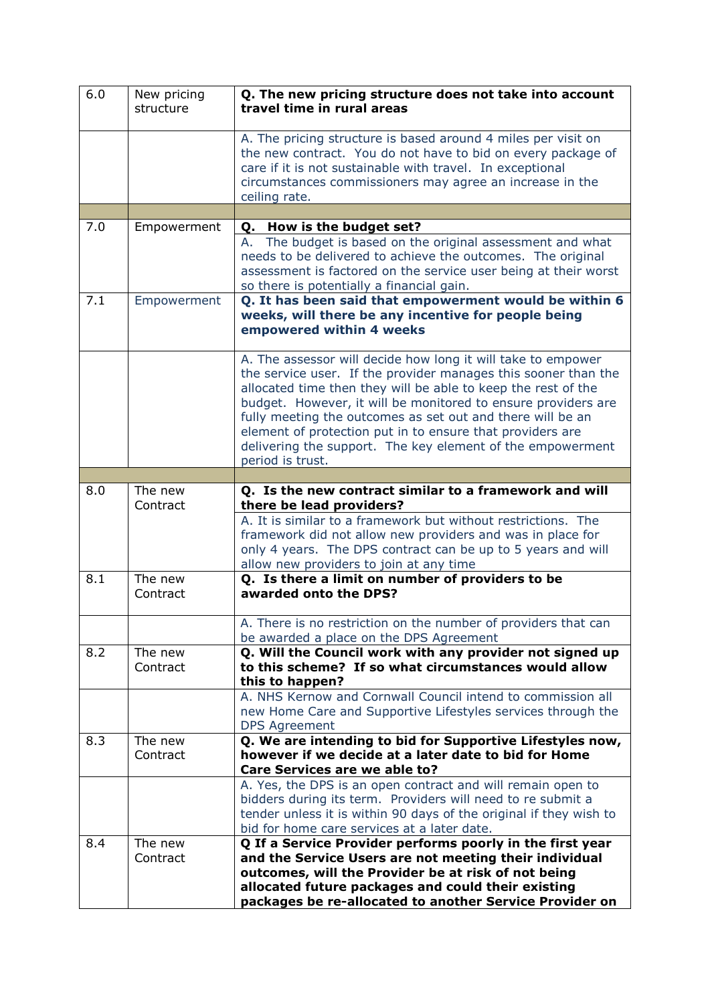| 6.0 | New pricing<br>structure | Q. The new pricing structure does not take into account<br>travel time in rural areas                                                                                                                                                                                                                                                                                                                                                                                         |
|-----|--------------------------|-------------------------------------------------------------------------------------------------------------------------------------------------------------------------------------------------------------------------------------------------------------------------------------------------------------------------------------------------------------------------------------------------------------------------------------------------------------------------------|
|     |                          | A. The pricing structure is based around 4 miles per visit on<br>the new contract. You do not have to bid on every package of<br>care if it is not sustainable with travel. In exceptional<br>circumstances commissioners may agree an increase in the<br>ceiling rate.                                                                                                                                                                                                       |
|     |                          |                                                                                                                                                                                                                                                                                                                                                                                                                                                                               |
| 7.0 | Empowerment              | Q. How is the budget set?                                                                                                                                                                                                                                                                                                                                                                                                                                                     |
|     |                          | The budget is based on the original assessment and what<br>А.<br>needs to be delivered to achieve the outcomes. The original<br>assessment is factored on the service user being at their worst<br>so there is potentially a financial gain.                                                                                                                                                                                                                                  |
| 7.1 | Empowerment              | Q. It has been said that empowerment would be within 6<br>weeks, will there be any incentive for people being<br>empowered within 4 weeks                                                                                                                                                                                                                                                                                                                                     |
|     |                          | A. The assessor will decide how long it will take to empower<br>the service user. If the provider manages this sooner than the<br>allocated time then they will be able to keep the rest of the<br>budget. However, it will be monitored to ensure providers are<br>fully meeting the outcomes as set out and there will be an<br>element of protection put in to ensure that providers are<br>delivering the support. The key element of the empowerment<br>period is trust. |
|     |                          |                                                                                                                                                                                                                                                                                                                                                                                                                                                                               |
| 8.0 | The new<br>Contract      | Q. Is the new contract similar to a framework and will<br>there be lead providers?                                                                                                                                                                                                                                                                                                                                                                                            |
|     |                          | A. It is similar to a framework but without restrictions. The<br>framework did not allow new providers and was in place for<br>only 4 years. The DPS contract can be up to 5 years and will<br>allow new providers to join at any time                                                                                                                                                                                                                                        |
| 8.1 | The new<br>Contract      | Q. Is there a limit on number of providers to be<br>awarded onto the DPS?                                                                                                                                                                                                                                                                                                                                                                                                     |
|     |                          | A. There is no restriction on the number of providers that can<br>be awarded a place on the DPS Agreement                                                                                                                                                                                                                                                                                                                                                                     |
| 8.2 | The new<br>Contract      | Q. Will the Council work with any provider not signed up<br>to this scheme? If so what circumstances would allow<br>this to happen?                                                                                                                                                                                                                                                                                                                                           |
|     |                          | A. NHS Kernow and Cornwall Council intend to commission all<br>new Home Care and Supportive Lifestyles services through the<br><b>DPS Agreement</b>                                                                                                                                                                                                                                                                                                                           |
| 8.3 | The new<br>Contract      | Q. We are intending to bid for Supportive Lifestyles now,<br>however if we decide at a later date to bid for Home<br><b>Care Services are we able to?</b>                                                                                                                                                                                                                                                                                                                     |
|     |                          | A. Yes, the DPS is an open contract and will remain open to<br>bidders during its term. Providers will need to re submit a<br>tender unless it is within 90 days of the original if they wish to<br>bid for home care services at a later date.                                                                                                                                                                                                                               |
| 8.4 | The new<br>Contract      | Q If a Service Provider performs poorly in the first year<br>and the Service Users are not meeting their individual<br>outcomes, will the Provider be at risk of not being<br>allocated future packages and could their existing<br>packages be re-allocated to another Service Provider on                                                                                                                                                                                   |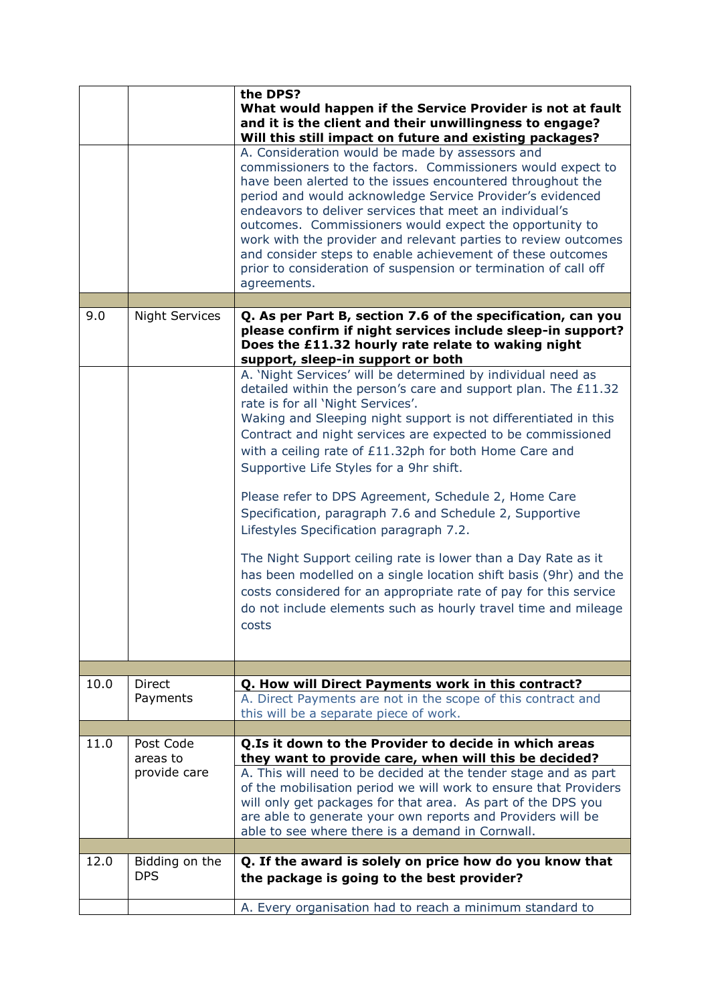|      |                           | the DPS?<br>What would happen if the Service Provider is not at fault<br>and it is the client and their unwillingness to engage?<br>Will this still impact on future and existing packages?<br>A. Consideration would be made by assessors and                                                                                                                                                                                                                                                                                 |
|------|---------------------------|--------------------------------------------------------------------------------------------------------------------------------------------------------------------------------------------------------------------------------------------------------------------------------------------------------------------------------------------------------------------------------------------------------------------------------------------------------------------------------------------------------------------------------|
|      |                           | commissioners to the factors. Commissioners would expect to<br>have been alerted to the issues encountered throughout the<br>period and would acknowledge Service Provider's evidenced<br>endeavors to deliver services that meet an individual's<br>outcomes. Commissioners would expect the opportunity to<br>work with the provider and relevant parties to review outcomes<br>and consider steps to enable achievement of these outcomes<br>prior to consideration of suspension or termination of call off<br>agreements. |
|      |                           |                                                                                                                                                                                                                                                                                                                                                                                                                                                                                                                                |
| 9.0  | <b>Night Services</b>     | Q. As per Part B, section 7.6 of the specification, can you<br>please confirm if night services include sleep-in support?<br>Does the £11.32 hourly rate relate to waking night<br>support, sleep-in support or both                                                                                                                                                                                                                                                                                                           |
|      |                           | A. 'Night Services' will be determined by individual need as<br>detailed within the person's care and support plan. The £11.32<br>rate is for all 'Night Services'.<br>Waking and Sleeping night support is not differentiated in this<br>Contract and night services are expected to be commissioned<br>with a ceiling rate of £11.32ph for both Home Care and<br>Supportive Life Styles for a 9hr shift.                                                                                                                     |
|      |                           | Please refer to DPS Agreement, Schedule 2, Home Care<br>Specification, paragraph 7.6 and Schedule 2, Supportive<br>Lifestyles Specification paragraph 7.2.                                                                                                                                                                                                                                                                                                                                                                     |
|      |                           | The Night Support ceiling rate is lower than a Day Rate as it<br>has been modelled on a single location shift basis (9hr) and the<br>costs considered for an appropriate rate of pay for this service<br>do not include elements such as hourly travel time and mileage<br>costs                                                                                                                                                                                                                                               |
|      |                           |                                                                                                                                                                                                                                                                                                                                                                                                                                                                                                                                |
| 10.0 | <b>Direct</b><br>Payments | Q. How will Direct Payments work in this contract?<br>A. Direct Payments are not in the scope of this contract and<br>this will be a separate piece of work.                                                                                                                                                                                                                                                                                                                                                                   |
| 11.0 | Post Code                 |                                                                                                                                                                                                                                                                                                                                                                                                                                                                                                                                |
|      | areas to<br>provide care  | Q.Is it down to the Provider to decide in which areas<br>they want to provide care, when will this be decided?<br>A. This will need to be decided at the tender stage and as part<br>of the mobilisation period we will work to ensure that Providers<br>will only get packages for that area. As part of the DPS you<br>are able to generate your own reports and Providers will be<br>able to see where there is a demand in Cornwall.                                                                                       |
| 12.0 | Bidding on the            | Q. If the award is solely on price how do you know that                                                                                                                                                                                                                                                                                                                                                                                                                                                                        |
|      | <b>DPS</b>                | the package is going to the best provider?                                                                                                                                                                                                                                                                                                                                                                                                                                                                                     |
|      |                           | A. Every organisation had to reach a minimum standard to                                                                                                                                                                                                                                                                                                                                                                                                                                                                       |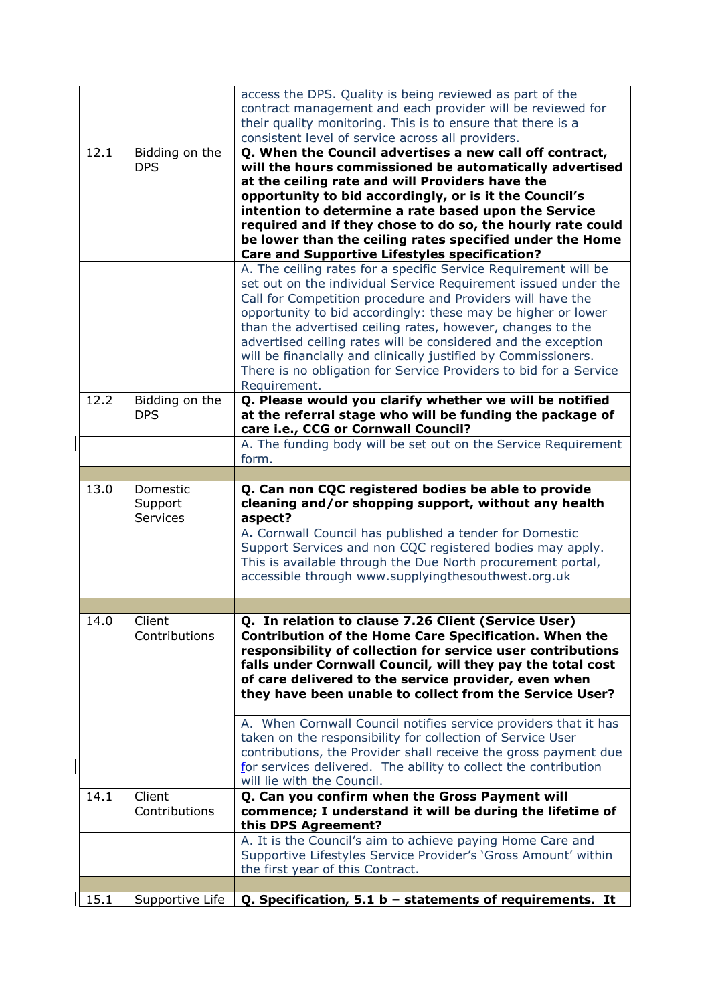| 15.1 | Supportive Life                 | $Q.$ Specification, 5.1 b - statements of requirements. It                                                                                                                                                                                                                                                                                                                                                                                                                                                                                                                                                                                                               |
|------|---------------------------------|--------------------------------------------------------------------------------------------------------------------------------------------------------------------------------------------------------------------------------------------------------------------------------------------------------------------------------------------------------------------------------------------------------------------------------------------------------------------------------------------------------------------------------------------------------------------------------------------------------------------------------------------------------------------------|
|      |                                 | A. It is the Council's aim to achieve paying Home Care and<br>Supportive Lifestyles Service Provider's 'Gross Amount' within<br>the first year of this Contract.                                                                                                                                                                                                                                                                                                                                                                                                                                                                                                         |
| 14.1 | Client<br>Contributions         | Q. Can you confirm when the Gross Payment will<br>commence; I understand it will be during the lifetime of<br>this DPS Agreement?                                                                                                                                                                                                                                                                                                                                                                                                                                                                                                                                        |
| 14.0 | Client<br>Contributions         | Q. In relation to clause 7.26 Client (Service User)<br><b>Contribution of the Home Care Specification. When the</b><br>responsibility of collection for service user contributions<br>falls under Cornwall Council, will they pay the total cost<br>of care delivered to the service provider, even when<br>they have been unable to collect from the Service User?<br>A. When Cornwall Council notifies service providers that it has<br>taken on the responsibility for collection of Service User<br>contributions, the Provider shall receive the gross payment due<br>for services delivered. The ability to collect the contribution<br>will lie with the Council. |
|      |                                 |                                                                                                                                                                                                                                                                                                                                                                                                                                                                                                                                                                                                                                                                          |
| 13.0 | Domestic<br>Support<br>Services | Q. Can non CQC registered bodies be able to provide<br>cleaning and/or shopping support, without any health<br>aspect?<br>A. Cornwall Council has published a tender for Domestic<br>Support Services and non CQC registered bodies may apply.<br>This is available through the Due North procurement portal,<br>accessible through www.supplyingthesouthwest.org.uk                                                                                                                                                                                                                                                                                                     |
|      |                                 |                                                                                                                                                                                                                                                                                                                                                                                                                                                                                                                                                                                                                                                                          |
|      |                                 | A. The funding body will be set out on the Service Requirement<br>form.                                                                                                                                                                                                                                                                                                                                                                                                                                                                                                                                                                                                  |
| 12.2 | Bidding on the<br><b>DPS</b>    | Q. Please would you clarify whether we will be notified<br>at the referral stage who will be funding the package of<br>care i.e., CCG or Cornwall Council?                                                                                                                                                                                                                                                                                                                                                                                                                                                                                                               |
|      |                                 | A. The ceiling rates for a specific Service Requirement will be<br>set out on the individual Service Requirement issued under the<br>Call for Competition procedure and Providers will have the<br>opportunity to bid accordingly: these may be higher or lower<br>than the advertised ceiling rates, however, changes to the<br>advertised ceiling rates will be considered and the exception<br>will be financially and clinically justified by Commissioners.<br>There is no obligation for Service Providers to bid for a Service<br>Requirement.                                                                                                                    |
| 12.1 | Bidding on the<br><b>DPS</b>    | Q. When the Council advertises a new call off contract,<br>will the hours commissioned be automatically advertised<br>at the ceiling rate and will Providers have the<br>opportunity to bid accordingly, or is it the Council's<br>intention to determine a rate based upon the Service<br>required and if they chose to do so, the hourly rate could<br>be lower than the ceiling rates specified under the Home<br><b>Care and Supportive Lifestyles specification?</b>                                                                                                                                                                                                |
|      |                                 | access the DPS. Quality is being reviewed as part of the<br>contract management and each provider will be reviewed for<br>their quality monitoring. This is to ensure that there is a<br>consistent level of service across all providers.                                                                                                                                                                                                                                                                                                                                                                                                                               |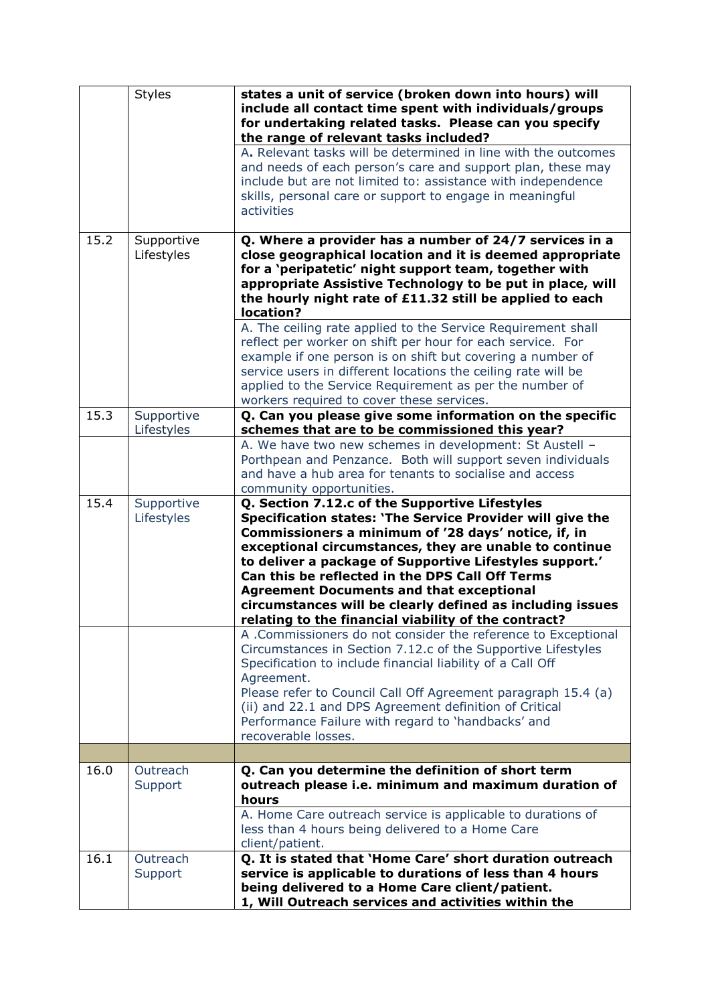|      | <b>Styles</b>            | states a unit of service (broken down into hours) will<br>include all contact time spent with individuals/groups<br>for undertaking related tasks. Please can you specify<br>the range of relevant tasks included?                                                                                                                                                                                                                                                                                                 |
|------|--------------------------|--------------------------------------------------------------------------------------------------------------------------------------------------------------------------------------------------------------------------------------------------------------------------------------------------------------------------------------------------------------------------------------------------------------------------------------------------------------------------------------------------------------------|
|      |                          | A. Relevant tasks will be determined in line with the outcomes<br>and needs of each person's care and support plan, these may<br>include but are not limited to: assistance with independence<br>skills, personal care or support to engage in meaningful<br>activities                                                                                                                                                                                                                                            |
| 15.2 | Supportive<br>Lifestyles | Q. Where a provider has a number of 24/7 services in a<br>close geographical location and it is deemed appropriate<br>for a 'peripatetic' night support team, together with<br>appropriate Assistive Technology to be put in place, will<br>the hourly night rate of £11.32 still be applied to each<br>location?                                                                                                                                                                                                  |
|      |                          | A. The ceiling rate applied to the Service Requirement shall<br>reflect per worker on shift per hour for each service. For<br>example if one person is on shift but covering a number of<br>service users in different locations the ceiling rate will be<br>applied to the Service Requirement as per the number of<br>workers required to cover these services.                                                                                                                                                  |
| 15.3 | Supportive<br>Lifestyles | Q. Can you please give some information on the specific<br>schemes that are to be commissioned this year?                                                                                                                                                                                                                                                                                                                                                                                                          |
|      |                          | A. We have two new schemes in development: St Austell -<br>Porthpean and Penzance. Both will support seven individuals<br>and have a hub area for tenants to socialise and access<br>community opportunities.                                                                                                                                                                                                                                                                                                      |
| 15.4 | Supportive<br>Lifestyles | Q. Section 7.12.c of the Supportive Lifestyles<br>Specification states: 'The Service Provider will give the<br>Commissioners a minimum of '28 days' notice, if, in<br>exceptional circumstances, they are unable to continue<br>to deliver a package of Supportive Lifestyles support.'<br>Can this be reflected in the DPS Call Off Terms<br><b>Agreement Documents and that exceptional</b><br>circumstances will be clearly defined as including issues<br>relating to the financial viability of the contract? |
|      |                          | A .Commissioners do not consider the reference to Exceptional<br>Circumstances in Section 7.12.c of the Supportive Lifestyles<br>Specification to include financial liability of a Call Off<br>Agreement.<br>Please refer to Council Call Off Agreement paragraph 15.4 (a)<br>(ii) and 22.1 and DPS Agreement definition of Critical<br>Performance Failure with regard to 'handbacks' and<br>recoverable losses.                                                                                                  |
| 16.0 | Outreach                 |                                                                                                                                                                                                                                                                                                                                                                                                                                                                                                                    |
|      | Support                  | Q. Can you determine the definition of short term<br>outreach please i.e. minimum and maximum duration of<br>hours<br>A. Home Care outreach service is applicable to durations of                                                                                                                                                                                                                                                                                                                                  |
|      |                          | less than 4 hours being delivered to a Home Care<br>client/patient.                                                                                                                                                                                                                                                                                                                                                                                                                                                |
| 16.1 | Outreach<br>Support      | Q. It is stated that 'Home Care' short duration outreach<br>service is applicable to durations of less than 4 hours<br>being delivered to a Home Care client/patient.<br>1, Will Outreach services and activities within the                                                                                                                                                                                                                                                                                       |